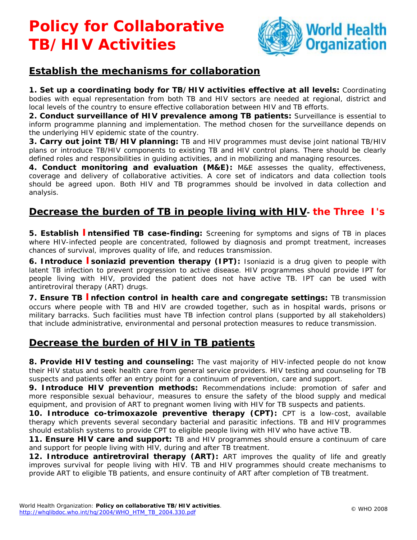## **Policy for Collaborative TB/HIV Activities**



### **Establish the mechanisms for collaboration**

**1. Set up a coordinating body for TB/HIV activities effective at all levels:** Coordinating bodies with equal representation from both TB and HIV sectors are needed at regional, district and local levels of the country to ensure effective collaboration between HIV and TB efforts.

**2. Conduct surveillance of HIV prevalence among TB patients:** Surveillance is essential to inform programme planning and implementation. The method chosen for the surveillance depends on the underlying HIV epidemic state of the country.

**3. Carry out joint TB/HIV planning:** TB and HIV programmes must devise joint national TB/HIV plans or introduce TB/HIV components to existing TB and HIV control plans. There should be clearly defined roles and responsibilities in guiding activities, and in mobilizing and managing resources.

**4. Conduct monitoring and evaluation (M&E):** M&E assesses the quality, effectiveness, coverage and delivery of collaborative activities. A core set of indicators and data collection tools should be agreed upon. Both HIV and TB programmes should be involved in data collection and analysis.

#### **Decrease the burden of TB in people living with HIV- the Three I's**

**5. Establish Intensified TB case-finding:** Screening for symptoms and signs of TB in places where HIV-infected people are concentrated, followed by diagnosis and prompt treatment, increases chances of survival, improves quality of life, and reduces transmission.

**6. Introduce I soniazid prevention therapy (IPT):** Isoniazid is a drug given to people with latent TB infection to prevent progression to active disease. HIV programmes should provide IPT for people living with HIV, provided the patient does not have active TB. IPT can be used with antiretroviral therapy (ART) drugs.

**7. Ensure TB Infection control in health care and congregate settings:** TB transmission occurs where people with TB and HIV are crowded together, such as in hospital wards, prisons or military barracks. Such facilities must have TB infection control plans (supported by all stakeholders) that include administrative, environmental and personal protection measures to reduce transmission.

#### **Decrease the burden of HIV in TB patients**

**8. Provide HIV testing and counseling:** The vast majority of HIV-infected people do not know their HIV status and seek health care from general service providers. HIV testing and counseling for TB suspects and patients offer an entry point for a continuum of prevention, care and support.

**9. Introduce HIV prevention methods:** Recommendations include: promotion of safer and more responsible sexual behaviour, measures to ensure the safety of the blood supply and medical equipment, and provision of ART to pregnant women living with HIV for TB suspects and patients.

**10. Introduce co-trimoxazole preventive therapy (CPT):** CPT is a low-cost, available therapy which prevents several secondary bacterial and parasitic infections. TB and HIV programmes should establish systems to provide CPT to eligible people living with HIV who have active TB.

**11. Ensure HIV care and support:** TB and HIV programmes should ensure a continuum of care and support for people living with HIV, during and after TB treatment.

12. Introduce antiretroviral therapy (ART): ART improves the quality of life and greatly improves survival for people living with HIV. TB and HIV programmes should create mechanisms to provide ART to eligible TB patients, and ensure continuity of ART after completion of TB treatment.